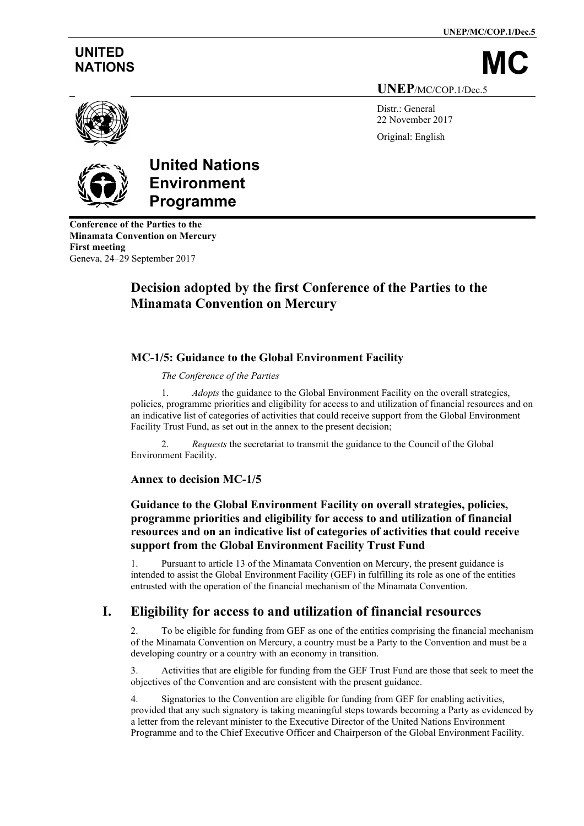**UNEP/MC/COP.1/Dec.5**

# **UNITED**

NATIONS

**UNEP**/MC/COP.1/Dec.5

Distr.: General 22 November 2017 Original: English



# **United Nations Environment Programme**

**Conference of the Parties to the Minamata Convention on Mercury First meeting** Geneva, 24–29 September 2017

# **Decision adopted by the first Conference of the Parties to the Minamata Convention on Mercury**

## **MC-1/5: Guidance to the Global Environment Facility**

*The Conference of the Parties*

*Adopts* the guidance to the Global Environment Facility on the overall strategies, policies, programme priorities and eligibility for access to and utilization of financial resources and on an indicative list of categories of activities that could receive support from the Global Environment Facility Trust Fund, as set out in the annex to the present decision;

2. *Requests* the secretariat to transmit the guidance to the Council of the Global Environment Facility.

#### **Annex to decision MC-1/5**

### **Guidance to the Global Environment Facility on overall strategies, policies, programme priorities and eligibility for access to and utilization of financial resources and on an indicative list of categories of activities that could receive support from the Global Environment Facility Trust Fund**

1. Pursuant to article 13 of the Minamata Convention on Mercury, the present guidance is intended to assist the Global Environment Facility (GEF) in fulfilling its role as one of the entities entrusted with the operation of the financial mechanism of the Minamata Convention.

## **I. Eligibility for access to and utilization of financial resources**

2. To be eligible for funding from GEF as one of the entities comprising the financial mechanism of the Minamata Convention on Mercury, a country must be a Party to the Convention and must be a developing country or a country with an economy in transition.

3. Activities that are eligible for funding from the GEF Trust Fund are those that seek to meet the objectives of the Convention and are consistent with the present guidance.

Signatories to the Convention are eligible for funding from GEF for enabling activities, provided that any such signatory is taking meaningful steps towards becoming a Party as evidenced by a letter from the relevant minister to the Executive Director of the United Nations Environment Programme and to the Chief Executive Officer and Chairperson of the Global Environment Facility.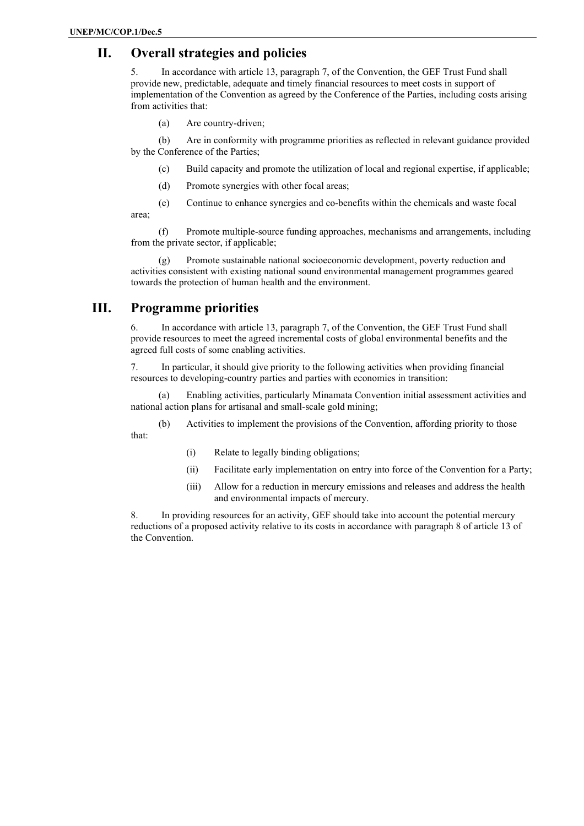# **II. Overall strategies and policies**

5. In accordance with article 13, paragraph 7, of the Convention, the GEF Trust Fund shall provide new, predictable, adequate and timely financial resources to meet costs in support of implementation of the Convention as agreed by the Conference of the Parties, including costs arising from activities that:

(a) Are country-driven;

(b) Are in conformity with programme priorities as reflected in relevant guidance provided by the Conference of the Parties;

- (c) Build capacity and promote the utilization of local and regional expertise, if applicable;
- (d) Promote synergies with other focal areas;
- (e) Continue to enhance synergies and co-benefits within the chemicals and waste focal

area;

(f) Promote multiple-source funding approaches, mechanisms and arrangements, including from the private sector, if applicable;

(g) Promote sustainable national socioeconomic development, poverty reduction and activities consistent with existing national sound environmental management programmes geared towards the protection of human health and the environment.

## **III. Programme priorities**

6. In accordance with article 13, paragraph 7, of the Convention, the GEF Trust Fund shall provide resources to meet the agreed incremental costs of global environmental benefits and the agreed full costs of some enabling activities.

7. In particular, it should give priority to the following activities when providing financial resources to developing-country parties and parties with economies in transition:

(a) Enabling activities, particularly Minamata Convention initial assessment activities and national action plans for artisanal and small-scale gold mining;

- (b) Activities to implement the provisions of the Convention, affording priority to those that:
	- (i) Relate to legally binding obligations;
	- (ii) Facilitate early implementation on entry into force of the Convention for a Party;
	- (iii) Allow for a reduction in mercury emissions and releases and address the health and environmental impacts of mercury.

8. In providing resources for an activity, GEF should take into account the potential mercury reductions of a proposed activity relative to its costs in accordance with paragraph 8 of article 13 of the Convention.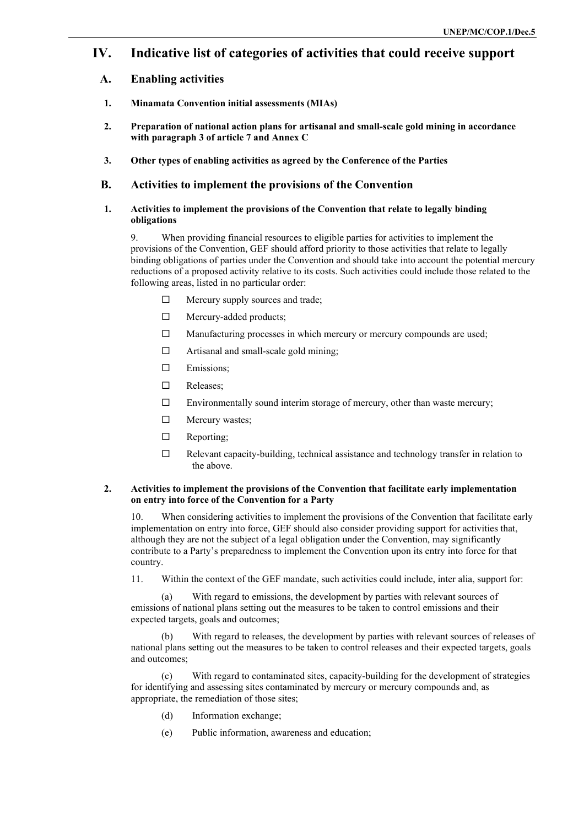## **IV. Indicative list of categories of activities that could receive support**

- **A. Enabling activities**
- **1. Minamata Convention initial assessments (MIAs)**
- **2. Preparation of national action plans for artisanal and small-scale gold mining in accordance with paragraph 3 of article 7 and Annex C**
- **3. Other types of enabling activities as agreed by the Conference of the Parties**

#### **B. Activities to implement the provisions of the Convention**

#### **1. Activities to implement the provisions of the Convention that relate to legally binding obligations**

9. When providing financial resources to eligible parties for activities to implement the provisions of the Convention, GEF should afford priority to those activities that relate to legally binding obligations of parties under the Convention and should take into account the potential mercury reductions of a proposed activity relative to its costs. Such activities could include those related to the following areas, listed in no particular order:

- $\Box$  Mercury supply sources and trade;
- □ Mercury-added products;
- □ Manufacturing processes in which mercury or mercury compounds are used;
- □ Artisanal and small-scale gold mining;
- **Emissions**;
- Releases;
- $\square$  Environmentally sound interim storage of mercury, other than waste mercury;
- Mercury wastes;
- $\Box$  Reporting;
- $\Box$  Relevant capacity-building, technical assistance and technology transfer in relation to the above.

#### **2. Activities to implement the provisions of the Convention that facilitate early implementation on entry into force of the Convention for a Party**

10. When considering activities to implement the provisions of the Convention that facilitate early implementation on entry into force, GEF should also consider providing support for activities that, although they are not the subject of a legal obligation under the Convention, may significantly contribute to a Party's preparedness to implement the Convention upon its entry into force for that country.

11. Within the context of the GEF mandate, such activities could include, inter alia, support for:

(a) With regard to emissions, the development by parties with relevant sources of emissions of national plans setting out the measures to be taken to control emissions and their expected targets, goals and outcomes;

With regard to releases, the development by parties with relevant sources of releases of national plans setting out the measures to be taken to control releases and their expected targets, goals and outcomes;

(c) With regard to contaminated sites, capacity-building for the development of strategies for identifying and assessing sites contaminated by mercury or mercury compounds and, as appropriate, the remediation of those sites;

- (d) Information exchange;
- (e) Public information, awareness and education;